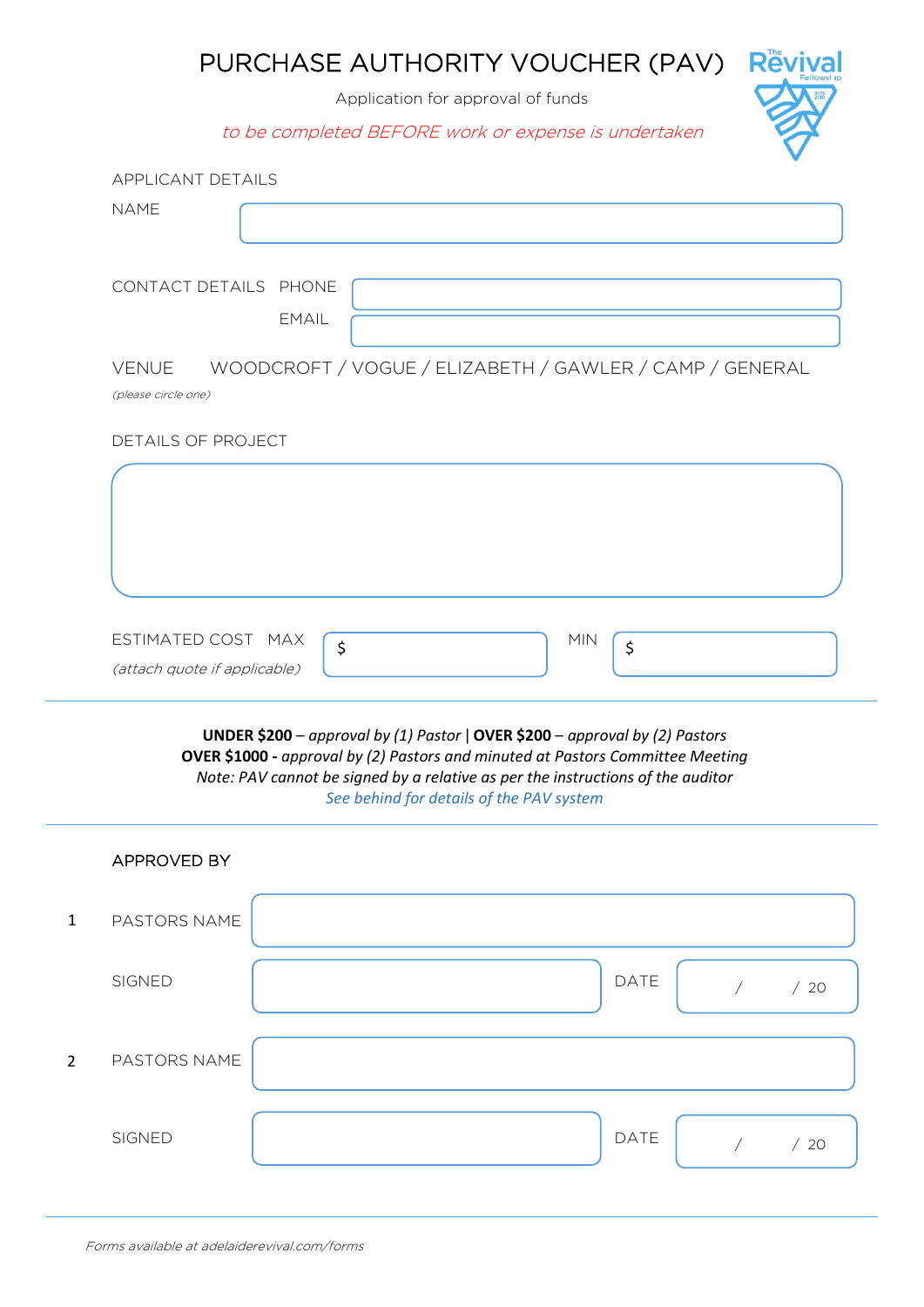### PURCHASE AUTHORITY VOUCHER (PAV) Rëvival

Application for approval of funds

to be completed BEFORE work or expense is undertaken

| <b>APPLICANT DETAILS</b>                                                                       |  |  |  |  |
|------------------------------------------------------------------------------------------------|--|--|--|--|
| <b>NAME</b>                                                                                    |  |  |  |  |
| CONTACT DETAILS PHONE<br><b>EMAIL</b>                                                          |  |  |  |  |
| WOODCROFT / VOGUE / ELIZABETH / GAWLER / CAMP / GENERAL<br><b>VENUE</b><br>(please circle one) |  |  |  |  |
| DETAILS OF PROJECT                                                                             |  |  |  |  |
|                                                                                                |  |  |  |  |
| ESTIMATED COST MAX<br><b>MIN</b><br>\$<br>\$<br>(attach quote if applicable)                   |  |  |  |  |

**UNDER \$200** – *approval by (1) Pastor* ǀ **OVER \$200** – *approval by (2) Pastors* **OVER \$1000 -** *approval by (2) Pastors and minuted at Pastors Committee Meeting Note: PAV cannot be signed by a relative as per the instructions of the auditor See behind for details of the PAV system*

|                | APPROVED BY  |             |     |
|----------------|--------------|-------------|-----|
| $\mathbf{1}$   | PASTORS NAME |             |     |
|                | SIGNED       | <b>DATE</b> | /20 |
| $\overline{2}$ | PASTORS NAME |             |     |
|                | SIGNED       | DATE        | /20 |